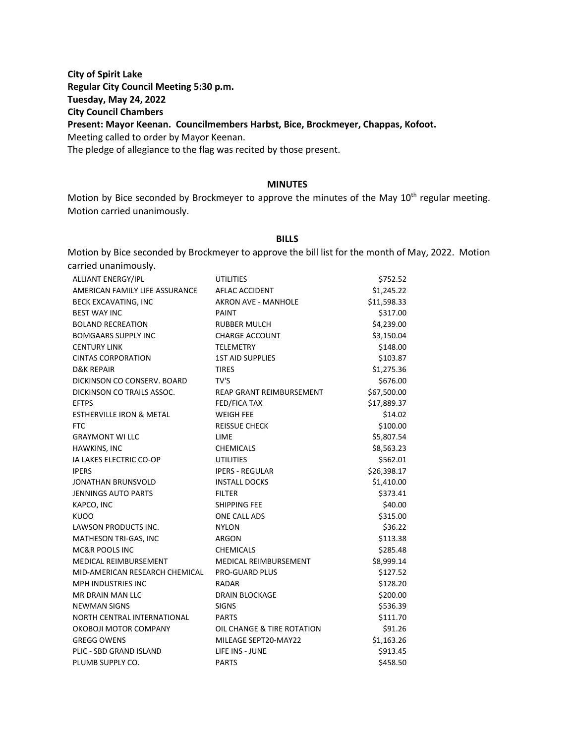**City of Spirit Lake Regular City Council Meeting 5:30 p.m. Tuesday, May 24, 2022 City Council Chambers Present: Mayor Keenan. Councilmembers Harbst, Bice, Brockmeyer, Chappas, Kofoot.** Meeting called to order by Mayor Keenan. The pledge of allegiance to the flag was recited by those present.

#### **MINUTES**

Motion by Bice seconded by Brockmeyer to approve the minutes of the May  $10^{th}$  regular meeting. Motion carried unanimously.

#### **BILLS**

Motion by Bice seconded by Brockmeyer to approve the bill list for the month of May, 2022. Motion carried unanimously.

| ALLIANT ENERGY/IPL                  | UTILITIES                       | \$752.52    |
|-------------------------------------|---------------------------------|-------------|
| AMERICAN FAMILY LIFE ASSURANCE      | AFLAC ACCIDENT                  | \$1,245.22  |
| <b>BECK EXCAVATING, INC</b>         | <b>AKRON AVE - MANHOLE</b>      | \$11,598.33 |
| <b>BEST WAY INC</b>                 | <b>PAINT</b>                    | \$317.00    |
| <b>BOLAND RECREATION</b>            | <b>RUBBER MULCH</b>             | \$4,239.00  |
| <b>BOMGAARS SUPPLY INC</b>          | <b>CHARGE ACCOUNT</b>           | \$3,150.04  |
| <b>CENTURY LINK</b>                 | <b>TELEMETRY</b>                | \$148.00    |
| <b>CINTAS CORPORATION</b>           | <b>1ST AID SUPPLIES</b>         | \$103.87    |
| <b>D&amp;K REPAIR</b>               | <b>TIRES</b>                    | \$1,275.36  |
| DICKINSON CO CONSERV. BOARD         | TV'S                            | \$676.00    |
| DICKINSON CO TRAILS ASSOC.          | <b>REAP GRANT REIMBURSEMENT</b> | \$67,500.00 |
| <b>EFTPS</b>                        | <b>FED/FICA TAX</b>             | \$17,889.37 |
| <b>ESTHERVILLE IRON &amp; METAL</b> | <b>WEIGH FEE</b>                | \$14.02     |
| <b>FTC</b>                          | <b>REISSUE CHECK</b>            | \$100.00    |
| <b>GRAYMONT WI LLC</b>              | <b>LIME</b>                     | \$5,807.54  |
| HAWKINS, INC                        | <b>CHEMICALS</b>                | \$8,563.23  |
| IA LAKES ELECTRIC CO-OP             | <b>UTILITIES</b>                | \$562.01    |
| <b>IPERS</b>                        | <b>IPERS - REGULAR</b>          | \$26,398.17 |
| JONATHAN BRUNSVOLD                  | <b>INSTALL DOCKS</b>            | \$1,410.00  |
| <b>JENNINGS AUTO PARTS</b>          | <b>FILTER</b>                   | \$373.41    |
| KAPCO, INC                          | SHIPPING FEE                    | \$40.00     |
| <b>KUOO</b>                         | ONE CALL ADS                    | \$315.00    |
| LAWSON PRODUCTS INC.                | <b>NYLON</b>                    | \$36.22     |
| MATHESON TRI-GAS, INC               | <b>ARGON</b>                    | \$113.38    |
| MC&R POOLS INC                      | <b>CHEMICALS</b>                | \$285.48    |
| MEDICAL REIMBURSEMENT               | MEDICAL REIMBURSEMENT           | \$8,999.14  |
| MID-AMERICAN RESEARCH CHEMICAL      | <b>PRO-GUARD PLUS</b>           | \$127.52    |
| <b>MPH INDUSTRIES INC</b>           | RADAR                           | \$128.20    |
| MR DRAIN MAN LLC                    | <b>DRAIN BLOCKAGE</b>           | \$200.00    |
| <b>NEWMAN SIGNS</b>                 | <b>SIGNS</b>                    | \$536.39    |
| NORTH CENTRAL INTERNATIONAL         | <b>PARTS</b>                    | \$111.70    |
| OKOBOJI MOTOR COMPANY               | OIL CHANGE & TIRE ROTATION      | \$91.26     |
| <b>GREGG OWENS</b>                  | MILEAGE SEPT20-MAY22            | \$1,163.26  |
| PLIC - SBD GRAND ISLAND             | LIFE INS - JUNE                 | \$913.45    |
| PLUMB SUPPLY CO.                    | <b>PARTS</b>                    | \$458.50    |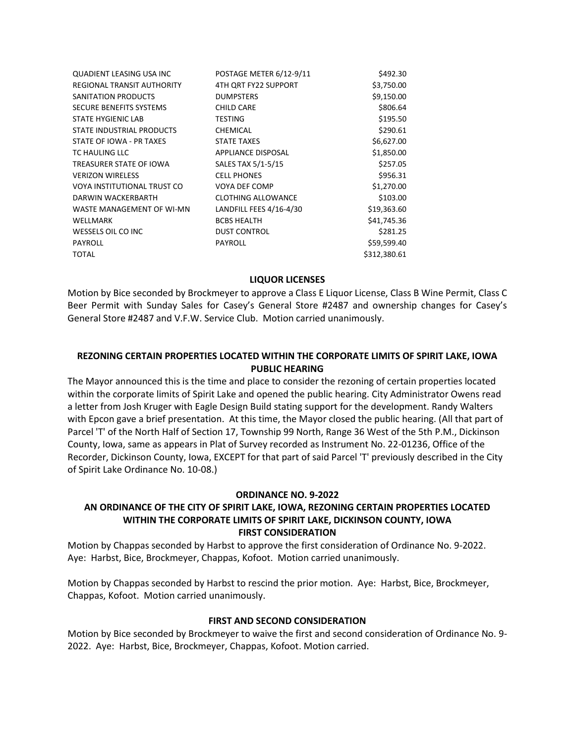| <b>QUADIENT LEASING USA INC</b> | POSTAGE METER 6/12-9/11   | \$492.30     |
|---------------------------------|---------------------------|--------------|
| REGIONAL TRANSIT AUTHORITY      | 4TH QRT FY22 SUPPORT      | \$3,750.00   |
| SANITATION PRODUCTS             | <b>DUMPSTERS</b>          | \$9,150.00   |
| SECURE BENEFITS SYSTEMS         | <b>CHILD CARE</b>         | \$806.64     |
| STATE HYGIENIC LAB              | <b>TESTING</b>            | \$195.50     |
| STATE INDUSTRIAL PRODUCTS       | <b>CHEMICAL</b>           | \$290.61     |
| STATE OF IOWA - PR TAXES        | <b>STATE TAXES</b>        | \$6,627.00   |
| TC HAULING LLC                  | APPLIANCE DISPOSAL        | \$1,850.00   |
| TREASURER STATE OF IOWA         | SALES TAX 5/1-5/15        | \$257.05     |
| <b>VERIZON WIRELESS</b>         | <b>CELL PHONES</b>        | \$956.31     |
| VOYA INSTITUTIONAL TRUST CO     | VOYA DEF COMP             | \$1,270.00   |
| DARWIN WACKERBARTH              | <b>CLOTHING ALLOWANCE</b> | \$103.00     |
| WASTE MANAGEMENT OF WI-MN       | LANDFILL FEES 4/16-4/30   | \$19,363.60  |
| WELLMARK                        | <b>BCBS HEALTH</b>        | \$41,745.36  |
| WESSELS OIL CO INC              | <b>DUST CONTROL</b>       | \$281.25     |
| <b>PAYROLL</b>                  | <b>PAYROLL</b>            | \$59,599.40  |
| <b>TOTAL</b>                    |                           | \$312,380.61 |

## **LIQUOR LICENSES**

Motion by Bice seconded by Brockmeyer to approve a Class E Liquor License, Class B Wine Permit, Class C Beer Permit with Sunday Sales for Casey's General Store #2487 and ownership changes for Casey's General Store #2487 and V.F.W. Service Club. Motion carried unanimously.

# **REZONING CERTAIN PROPERTIES LOCATED WITHIN THE CORPORATE LIMITS OF SPIRIT LAKE, IOWA PUBLIC HEARING**

The Mayor announced this is the time and place to consider the rezoning of certain properties located within the corporate limits of Spirit Lake and opened the public hearing. City Administrator Owens read a letter from Josh Kruger with Eagle Design Build stating support for the development. Randy Walters with Epcon gave a brief presentation. At this time, the Mayor closed the public hearing. (All that part of Parcel 'T' of the North Half of Section 17, Township 99 North, Range 36 West of the 5th P.M., Dickinson County, Iowa, same as appears in Plat of Survey recorded as Instrument No. 22-01236, Office of the Recorder, Dickinson County, Iowa, EXCEPT for that part of said Parcel 'T' previously described in the City of Spirit Lake Ordinance No. 10-08.)

#### **ORDINANCE NO. 9-2022**

## **AN ORDINANCE OF THE CITY OF SPIRIT LAKE, IOWA, REZONING CERTAIN PROPERTIES LOCATED WITHIN THE CORPORATE LIMITS OF SPIRIT LAKE, DICKINSON COUNTY, IOWA FIRST CONSIDERATION**

Motion by Chappas seconded by Harbst to approve the first consideration of Ordinance No. 9-2022. Aye: Harbst, Bice, Brockmeyer, Chappas, Kofoot. Motion carried unanimously.

Motion by Chappas seconded by Harbst to rescind the prior motion. Aye: Harbst, Bice, Brockmeyer, Chappas, Kofoot. Motion carried unanimously.

#### **FIRST AND SECOND CONSIDERATION**

Motion by Bice seconded by Brockmeyer to waive the first and second consideration of Ordinance No. 9- 2022. Aye: Harbst, Bice, Brockmeyer, Chappas, Kofoot. Motion carried.